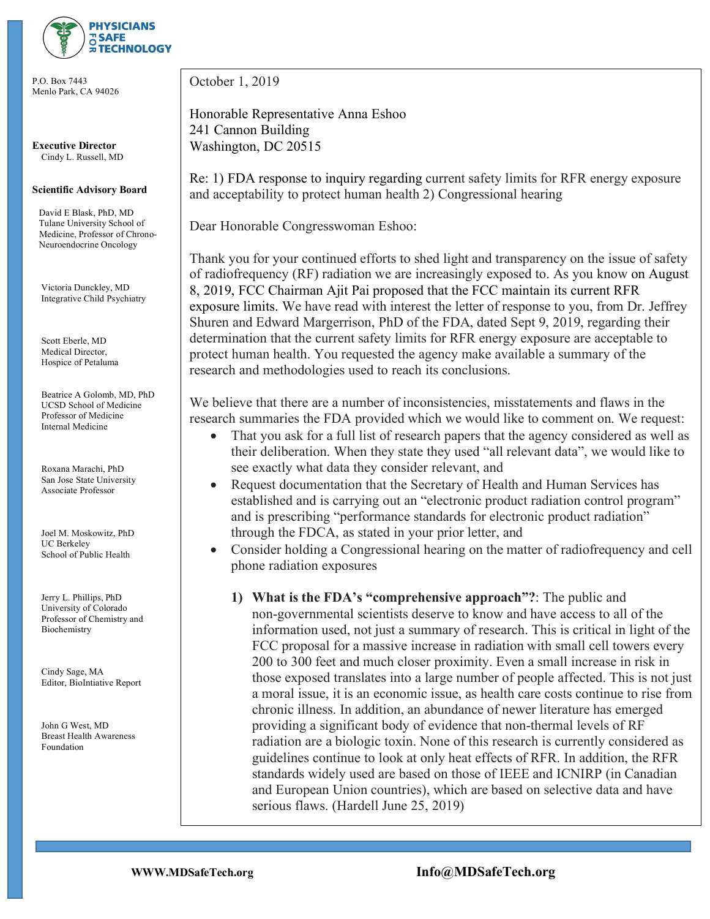

P.O. Box 7443 Menlo Park, CA 94026

**Executive Director** Cindy L. Russell, MD

## **Scientific Advisory Board**

 David E Blask, PhD, MD Tulane University School of Medicine, Professor of Chrono- Neuroendocrine Oncology

 Victoria Dunckley, MD Integrative Child Psychiatry

 Scott Eberle, MD Medical Director, Hospice of Petaluma

 Beatrice A Golomb, MD, PhD UCSD School of Medicine Professor of Medicine Internal Medicine

 Roxana Marachi, PhD San Jose State University Associate Professor

 Joel M. Moskowitz, PhD UC Berkeley School of Public Health

 Jerry L. Phillips, PhD University of Colorado Professor of Chemistry and Biochemistry

 Cindy Sage, MA Editor, BioIntiative Report

 John G West, MD Breast Health Awareness Foundation

October 1, 2019

Honorable Representative Anna Eshoo 241 Cannon Building Washington, DC 20515

Re: 1) FDA response to inquiry regarding current safety limits for RFR energy exposure and acceptability to protect human health 2) Congressional hearing

Dear Honorable Congresswoman Eshoo:

Thank you for your continued efforts to shed light and transparency on the issue of safety of radiofrequency (RF) radiation we are increasingly exposed to. As you know on August 8, 2019, FCC Chairman Ajit Pai proposed that the FCC maintain its current RFR exposure limits. We have read with interest the letter of response to you, from Dr. Jeffrey Shuren and Edward Margerrison, PhD of the FDA, dated Sept 9, 2019, regarding their determination that the current safety limits for RFR energy exposure are acceptable to protect human health. You requested the agency make available a summary of the research and methodologies used to reach its conclusions.

We believe that there are a number of inconsistencies, misstatements and flaws in the research summaries the FDA provided which we would like to comment on. We request:

- That you ask for a full list of research papers that the agency considered as well as their deliberation. When they state they used "all relevant data", we would like to see exactly what data they consider relevant, and
- Request documentation that the Secretary of Health and Human Services has established and is carrying out an "electronic product radiation control program" and is prescribing "performance standards for electronic product radiation" through the FDCA, as stated in your prior letter, and
- Consider holding a Congressional hearing on the matter of radiofrequency and cell phone radiation exposures
	- **1) What is the FDA's "comprehensive approach"?**: The public and non-governmental scientists deserve to know and have access to all of the information used, not just a summary of research. This is critical in light of the FCC proposal for a massive increase in radiation with small cell towers every 200 to 300 feet and much closer proximity. Even a small increase in risk in those exposed translates into a large number of people affected. This is not just a moral issue, it is an economic issue, as health care costs continue to rise from chronic illness. In addition, an abundance of newer literature has emerged providing a significant body of evidence that non-thermal levels of RF radiation are a biologic toxin. None of this research is currently considered as guidelines continue to look at only heat effects of RFR. In addition, the RFR standards widely used are based on those of IEEE and ICNIRP (in Canadian and European Union countries), which are based on selective data and have serious flaws. (Hardell June 25, 2019)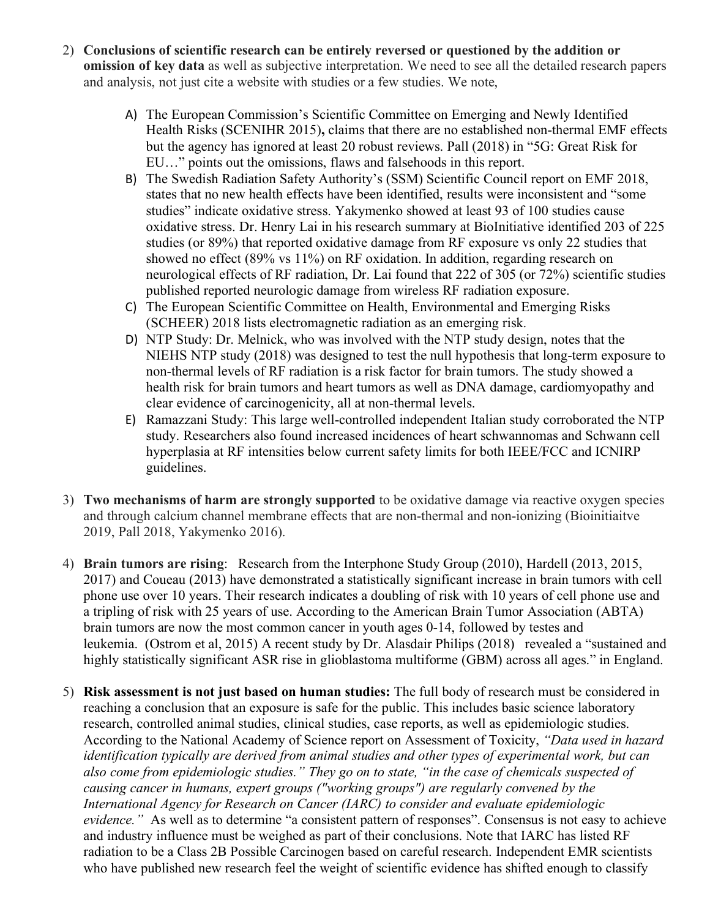- 2) **Conclusions of scientific research can be entirely reversed or questioned by the addition or omission of key data** as well as subjective interpretation. We need to see all the detailed research papers and analysis, not just cite a website with studies or a few studies. We note,
	- A) The European Commission's Scientific Committee on Emerging and Newly Identified Health Risks (SCENIHR 2015)**,** claims that there are no established non-thermal EMF effects but the agency has ignored at least 20 robust reviews. Pall (2018) in "5G: Great Risk for EU…" points out the omissions, flaws and falsehoods in this report.
	- B) The Swedish Radiation Safety Authority's (SSM) Scientific Council report on EMF 2018, states that no new health effects have been identified, results were inconsistent and "some studies" indicate oxidative stress. Yakymenko showed at least 93 of 100 studies cause oxidative stress. Dr. Henry Lai in his research summary at BioInitiative identified 203 of 225 studies (or 89%) that reported oxidative damage from RF exposure vs only 22 studies that showed no effect (89% vs 11%) on RF oxidation. In addition, regarding research on neurological effects of RF radiation, Dr. Lai found that 222 of 305 (or 72%) scientific studies published reported neurologic damage from wireless RF radiation exposure.
	- C) The European Scientific Committee on Health, Environmental and Emerging Risks (SCHEER) 2018 lists electromagnetic radiation as an emerging risk.
	- D) NTP Study: Dr. Melnick, who was involved with the NTP study design, notes that the NIEHS NTP study (2018) was designed to test the null hypothesis that long-term exposure to non-thermal levels of RF radiation is a risk factor for brain tumors. The study showed a health risk for brain tumors and heart tumors as well as DNA damage, cardiomyopathy and clear evidence of carcinogenicity, all at non-thermal levels.
	- E) Ramazzani Study: This large well-controlled independent Italian study corroborated the NTP study. Researchers also found increased incidences of heart schwannomas and Schwann cell hyperplasia at RF intensities below current safety limits for both IEEE/FCC and ICNIRP guidelines.
- 3) **Two mechanisms of harm are strongly supported** to be oxidative damage via reactive oxygen species and through calcium channel membrane effects that are non-thermal and non-ionizing (Bioinitiaitve 2019, Pall 2018, Yakymenko 2016).
- 4) **Brain tumors are rising**: Research from the Interphone Study Group (2010), Hardell (2013, 2015, 2017) and Coueau (2013) have demonstrated a statistically significant increase in brain tumors with cell phone use over 10 years. Their research indicates a doubling of risk with 10 years of cell phone use and a tripling of risk with 25 years of use. According to the American Brain Tumor Association (ABTA) brain tumors are now the most common cancer in youth ages 0-14, followed by testes and leukemia. (Ostrom et al, 2015) A recent study by Dr. Alasdair Philips (2018) revealed a "sustained and highly statistically significant ASR rise in glioblastoma multiforme (GBM) across all ages." in England.
- 5) **Risk assessment is not just based on human studies:** The full body of research must be considered in reaching a conclusion that an exposure is safe for the public. This includes basic science laboratory research, controlled animal studies, clinical studies, case reports, as well as epidemiologic studies. According to the National Academy of Science report on Assessment of Toxicity, *"Data used in hazard identification typically are derived from animal studies and other types of experimental work, but can also come from epidemiologic studies." They go on to state, "in the case of chemicals suspected of causing cancer in humans, expert groups ("working groups") are regularly convened by the International Agency for Research on Cancer (IARC) to consider and evaluate epidemiologic evidence.*" As well as to determine "a consistent pattern of responses". Consensus is not easy to achieve and industry influence must be weighed as part of their conclusions. Note that IARC has listed RF radiation to be a Class 2B Possible Carcinogen based on careful research. Independent EMR scientists who have published new research feel the weight of scientific evidence has shifted enough to classify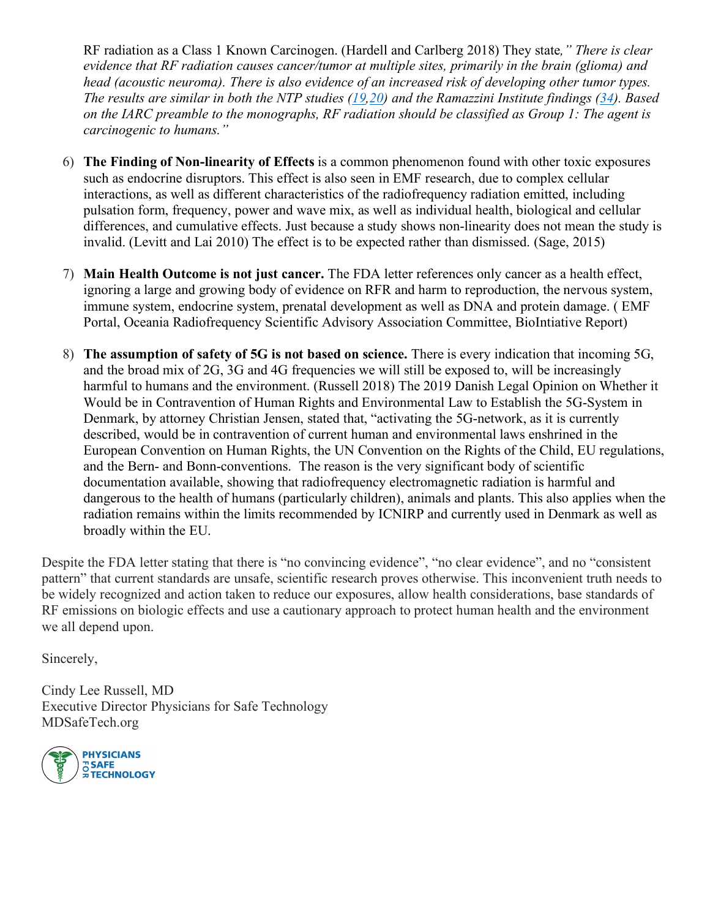RF radiation as a Class 1 Known Carcinogen. (Hardell and Carlberg 2018) They state*," There is clear evidence that RF radiation causes cancer/tumor at multiple sites, primarily in the brain (glioma) and head (acoustic neuroma). There is also evidence of an increased risk of developing other tumor types. The results are similar in both the NTP studies (19,20) and the Ramazzini Institute findings (34). Based on the IARC preamble to the monographs, RF radiation should be classified as Group 1: The agent is carcinogenic to humans."*

- 6) **The Finding of Non-linearity of Effects** is a common phenomenon found with other toxic exposures such as endocrine disruptors. This effect is also seen in EMF research, due to complex cellular interactions, as well as different characteristics of the radiofrequency radiation emitted, including pulsation form, frequency, power and wave mix, as well as individual health, biological and cellular differences, and cumulative effects. Just because a study shows non-linearity does not mean the study is invalid. (Levitt and Lai 2010) The effect is to be expected rather than dismissed. (Sage, 2015)
- 7) **Main Health Outcome is not just cancer.** The FDA letter references only cancer as a health effect, ignoring a large and growing body of evidence on RFR and harm to reproduction, the nervous system, immune system, endocrine system, prenatal development as well as DNA and protein damage. ( EMF Portal, Oceania Radiofrequency Scientific Advisory Association Committee, BioIntiative Report)
- 8) **The assumption of safety of 5G is not based on science.** There is every indication that incoming 5G, and the broad mix of 2G, 3G and 4G frequencies we will still be exposed to, will be increasingly harmful to humans and the environment. (Russell 2018) The 2019 Danish Legal Opinion on Whether it Would be in Contravention of Human Rights and Environmental Law to Establish the 5G-System in Denmark, by attorney Christian Jensen, stated that, "activating the 5G-network, as it is currently described, would be in contravention of current human and environmental laws enshrined in the European Convention on Human Rights, the UN Convention on the Rights of the Child, EU regulations, and the Bern- and Bonn-conventions. The reason is the very significant body of scientific documentation available, showing that radiofrequency electromagnetic radiation is harmful and dangerous to the health of humans (particularly children), animals and plants. This also applies when the radiation remains within the limits recommended by ICNIRP and currently used in Denmark as well as broadly within the EU.

Despite the FDA letter stating that there is "no convincing evidence", "no clear evidence", and no "consistent pattern" that current standards are unsafe, scientific research proves otherwise. This inconvenient truth needs to be widely recognized and action taken to reduce our exposures, allow health considerations, base standards of RF emissions on biologic effects and use a cautionary approach to protect human health and the environment we all depend upon.

Sincerely,

Cindy Lee Russell, MD Executive Director Physicians for Safe Technology MDSafeTech.org

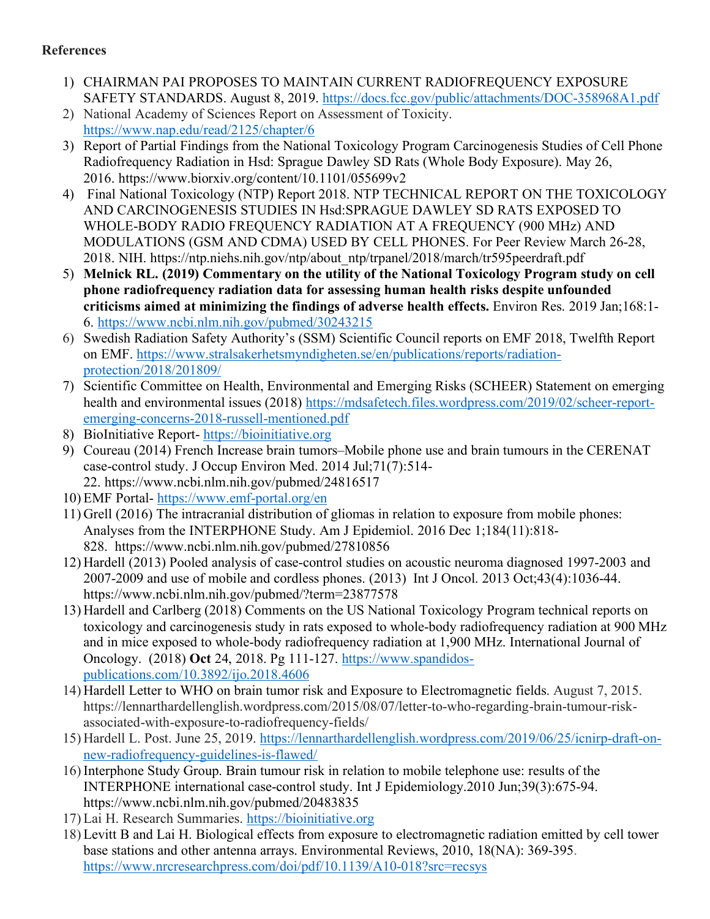## **References**

- 1) CHAIRMAN PAI PROPOSES TO MAINTAIN CURRENT RADIOFREQUENCY EXPOSURE SAFETY STANDARDS. August 8, 2019. https://docs.fcc.gov/public/attachments/DOC-358968A1.pdf
- 2) National Academy of Sciences Report on Assessment of Toxicity. https://www.nap.edu/read/2125/chapter/6
- 3) Report of Partial Findings from the National Toxicology Program Carcinogenesis Studies of Cell Phone Radiofrequency Radiation in Hsd: Sprague Dawley SD Rats (Whole Body Exposure). May 26, 2016. https://www.biorxiv.org/content/10.1101/055699v2
- 4) Final National Toxicology (NTP) Report 2018. NTP TECHNICAL REPORT ON THE TOXICOLOGY AND CARCINOGENESIS STUDIES IN Hsd:SPRAGUE DAWLEY SD RATS EXPOSED TO WHOLE-BODY RADIO FREQUENCY RADIATION AT A FREQUENCY (900 MHz) AND MODULATIONS (GSM AND CDMA) USED BY CELL PHONES. For Peer Review March 26-28, 2018. NIH. https://ntp.niehs.nih.gov/ntp/about\_ntp/trpanel/2018/march/tr595peerdraft.pdf
- 5) **Melnick RL. (2019) Commentary on the utility of the National Toxicology Program study on cell phone radiofrequency radiation data for assessing human health risks despite unfounded criticisms aimed at minimizing the findings of adverse health effects.** Environ Res. 2019 Jan;168:1- 6. https://www.ncbi.nlm.nih.gov/pubmed/30243215
- 6) Swedish Radiation Safety Authority's (SSM) Scientific Council reports on EMF 2018, Twelfth Report on EMF. https://www.stralsakerhetsmyndigheten.se/en/publications/reports/radiationprotection/2018/201809/
- 7) Scientific Committee on Health, Environmental and Emerging Risks (SCHEER) Statement on emerging health and environmental issues (2018) https://mdsafetech.files.wordpress.com/2019/02/scheer-reportemerging-concerns-2018-russell-mentioned.pdf
- 8) BioInitiative Report- https://bioinitiative.org
- 9) Coureau (2014) French Increase brain tumors–Mobile phone use and brain tumours in the CERENAT case-control study. J Occup Environ Med. 2014 Jul;71(7):514- 22. https://www.ncbi.nlm.nih.gov/pubmed/24816517
- 10) EMF Portal- https://www.emf-portal.org/en
- 11) Grell (2016) The intracranial distribution of gliomas in relation to exposure from mobile phones: Analyses from the INTERPHONE Study. Am J Epidemiol. 2016 Dec 1;184(11):818- 828. https://www.ncbi.nlm.nih.gov/pubmed/27810856
- 12) Hardell (2013) Pooled analysis of case-control studies on acoustic neuroma diagnosed 1997-2003 and 2007-2009 and use of mobile and cordless phones. (2013) Int J Oncol. 2013 Oct;43(4):1036-44. https://www.ncbi.nlm.nih.gov/pubmed/?term=23877578
- 13) Hardell and Carlberg (2018) Comments on the US National Toxicology Program technical reports on toxicology and carcinogenesis study in rats exposed to whole-body radiofrequency radiation at 900 MHz and in mice exposed to whole-body radiofrequency radiation at 1,900 MHz. International Journal of Oncology. (2018) **Oct** 24, 2018. Pg 111-127. https://www.spandidospublications.com/10.3892/ijo.2018.4606
- 14) Hardell Letter to WHO on brain tumor risk and Exposure to Electromagnetic fields. August 7, 2015. https://lennarthardellenglish.wordpress.com/2015/08/07/letter-to-who-regarding-brain-tumour-riskassociated-with-exposure-to-radiofrequency-fields/
- 15) Hardell L. Post. June 25, 2019. https://lennarthardellenglish.wordpress.com/2019/06/25/icnirp-draft-onnew-radiofrequency-guidelines-is-flawed/
- 16) Interphone Study Group. Brain tumour risk in relation to mobile telephone use: results of the INTERPHONE international case-control study. Int J Epidemiology.2010 Jun;39(3):675-94. https://www.ncbi.nlm.nih.gov/pubmed/20483835
- 17) Lai H. Research Summaries. https://bioinitiative.org
- 18) Levitt B and Lai H. Biological effects from exposure to electromagnetic radiation emitted by cell tower base stations and other antenna arrays. Environmental Reviews, 2010, 18(NA): 369-395. https://www.nrcresearchpress.com/doi/pdf/10.1139/A10-018?src=recsys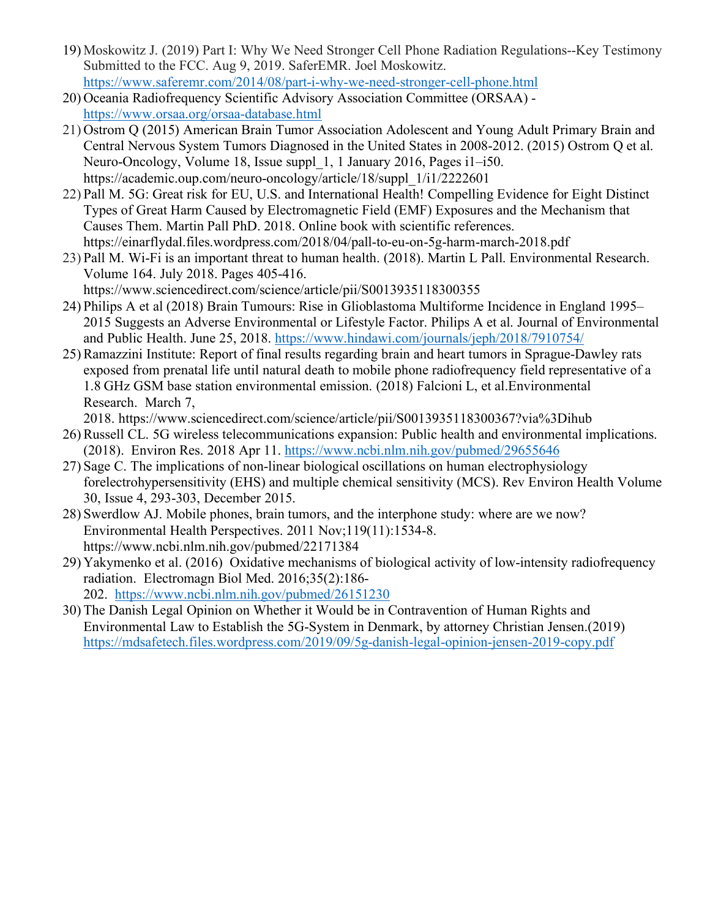- 19) Moskowitz J. (2019) Part I: Why We Need Stronger Cell Phone Radiation Regulations--Key Testimony Submitted to the FCC. Aug 9, 2019. SaferEMR. Joel Moskowitz. https://www.saferemr.com/2014/08/part-i-why-we-need-stronger-cell-phone.html
- 20) Oceania Radiofrequency Scientific Advisory Association Committee (ORSAA) https://www.orsaa.org/orsaa-database.html
- 21) Ostrom Q (2015) American Brain Tumor Association Adolescent and Young Adult Primary Brain and Central Nervous System Tumors Diagnosed in the United States in 2008-2012. (2015) Ostrom Q et al. Neuro-Oncology, Volume 18, Issue suppl\_1, 1 January 2016, Pages i1–i50. https://academic.oup.com/neuro-oncology/article/18/suppl\_1/i1/2222601
- 22) Pall M. 5G: Great risk for EU, U.S. and International Health! Compelling Evidence for Eight Distinct Types of Great Harm Caused by Electromagnetic Field (EMF) Exposures and the Mechanism that Causes Them. Martin Pall PhD. 2018. Online book with scientific references. https://einarflydal.files.wordpress.com/2018/04/pall-to-eu-on-5g-harm-march-2018.pdf
- 23) Pall M. Wi-Fi is an important threat to human health. (2018). Martin L Pall. Environmental Research. Volume 164. July 2018. Pages 405-416. https://www.sciencedirect.com/science/article/pii/S0013935118300355
- 24) Philips A et al (2018) Brain Tumours: Rise in Glioblastoma Multiforme Incidence in England 1995– 2015 Suggests an Adverse Environmental or Lifestyle Factor. Philips A et al. Journal of Environmental and Public Health. June 25, 2018. https://www.hindawi.com/journals/jeph/2018/7910754/
- 25) Ramazzini Institute: Report of final results regarding brain and heart tumors in Sprague-Dawley rats exposed from prenatal life until natural death to mobile phone radiofrequency field representative of a 1.8 GHz GSM base station environmental emission. (2018) Falcioni L, et al.Environmental Research. March 7,

2018. https://www.sciencedirect.com/science/article/pii/S0013935118300367?via%3Dihub

- 26) Russell CL. 5G wireless telecommunications expansion: Public health and environmental implications. (2018). Environ Res. 2018 Apr 11. https://www.ncbi.nlm.nih.gov/pubmed/29655646
- 27) Sage C. The implications of non-linear biological oscillations on human electrophysiology forelectrohypersensitivity (EHS) and multiple chemical sensitivity (MCS). Rev Environ Health Volume 30, Issue 4, 293-303, December 2015.
- 28) Swerdlow AJ. Mobile phones, brain tumors, and the interphone study: where are we now? Environmental Health Perspectives. 2011 Nov;119(11):1534-8. https://www.ncbi.nlm.nih.gov/pubmed/22171384
- 29) Yakymenko et al. (2016) Oxidative mechanisms of biological activity of low-intensity radiofrequency radiation. Electromagn Biol Med. 2016;35(2):186- 202. https://www.ncbi.nlm.nih.gov/pubmed/26151230
- 30) The Danish Legal Opinion on Whether it Would be in Contravention of Human Rights and Environmental Law to Establish the 5G-System in Denmark, by attorney Christian Jensen.(2019) https://mdsafetech.files.wordpress.com/2019/09/5g-danish-legal-opinion-jensen-2019-copy.pdf